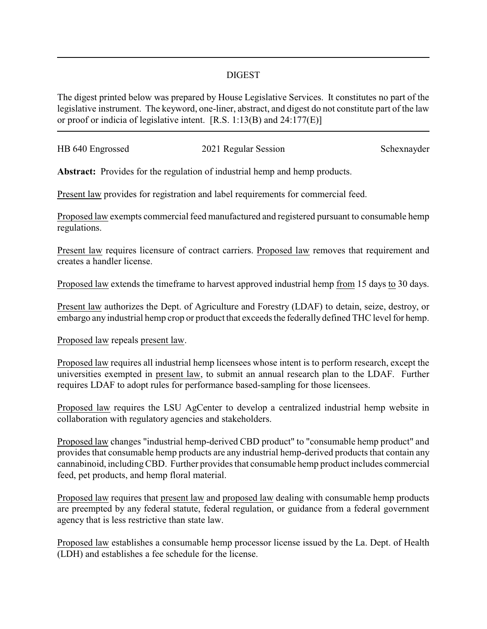## DIGEST

The digest printed below was prepared by House Legislative Services. It constitutes no part of the legislative instrument. The keyword, one-liner, abstract, and digest do not constitute part of the law or proof or indicia of legislative intent. [R.S. 1:13(B) and 24:177(E)]

| HB 640 Engrossed | 2021 Regular Session | Schexnayder |
|------------------|----------------------|-------------|
|                  |                      |             |

**Abstract:** Provides for the regulation of industrial hemp and hemp products.

Present law provides for registration and label requirements for commercial feed.

Proposed law exempts commercial feed manufactured and registered pursuant to consumable hemp regulations.

Present law requires licensure of contract carriers. Proposed law removes that requirement and creates a handler license.

Proposed law extends the timeframe to harvest approved industrial hemp from 15 days to 30 days.

Present law authorizes the Dept. of Agriculture and Forestry (LDAF) to detain, seize, destroy, or embargo any industrial hemp crop or product that exceeds the federally defined THC level for hemp.

Proposed law repeals present law.

Proposed law requires all industrial hemp licensees whose intent is to perform research, except the universities exempted in present law, to submit an annual research plan to the LDAF. Further requires LDAF to adopt rules for performance based-sampling for those licensees.

Proposed law requires the LSU AgCenter to develop a centralized industrial hemp website in collaboration with regulatory agencies and stakeholders.

Proposed law changes "industrial hemp-derived CBD product" to "consumable hemp product" and provides that consumable hemp products are any industrial hemp-derived products that contain any cannabinoid, includingCBD. Further provides that consumable hemp product includes commercial feed, pet products, and hemp floral material.

Proposed law requires that present law and proposed law dealing with consumable hemp products are preempted by any federal statute, federal regulation, or guidance from a federal government agency that is less restrictive than state law.

Proposed law establishes a consumable hemp processor license issued by the La. Dept. of Health (LDH) and establishes a fee schedule for the license.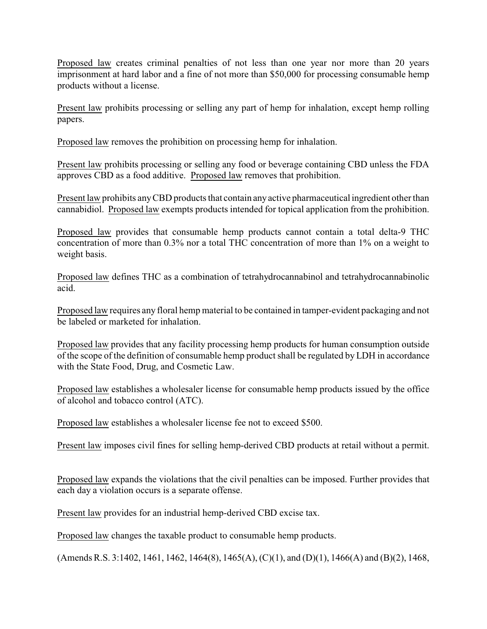Proposed law creates criminal penalties of not less than one year nor more than 20 years imprisonment at hard labor and a fine of not more than \$50,000 for processing consumable hemp products without a license.

Present law prohibits processing or selling any part of hemp for inhalation, except hemp rolling papers.

Proposed law removes the prohibition on processing hemp for inhalation.

Present law prohibits processing or selling any food or beverage containing CBD unless the FDA approves CBD as a food additive. Proposed law removes that prohibition.

Present law prohibits anyCBD products that contain anyactive pharmaceutical ingredient other than cannabidiol. Proposed law exempts products intended for topical application from the prohibition.

Proposed law provides that consumable hemp products cannot contain a total delta-9 THC concentration of more than 0.3% nor a total THC concentration of more than 1% on a weight to weight basis.

Proposed law defines THC as a combination of tetrahydrocannabinol and tetrahydrocannabinolic acid.

Proposed law requires any floral hemp material to be contained in tamper-evident packaging and not be labeled or marketed for inhalation.

Proposed law provides that any facility processing hemp products for human consumption outside of the scope of the definition of consumable hemp product shall be regulated by LDH in accordance with the State Food, Drug, and Cosmetic Law.

Proposed law establishes a wholesaler license for consumable hemp products issued by the office of alcohol and tobacco control (ATC).

Proposed law establishes a wholesaler license fee not to exceed \$500.

Present law imposes civil fines for selling hemp-derived CBD products at retail without a permit.

Proposed law expands the violations that the civil penalties can be imposed. Further provides that each day a violation occurs is a separate offense.

Present law provides for an industrial hemp-derived CBD excise tax.

Proposed law changes the taxable product to consumable hemp products.

(Amends R.S. 3:1402, 1461, 1462, 1464(8), 1465(A),  $(C)(1)$ , and  $(D)(1)$ , 1466(A) and  $(B)(2)$ , 1468,